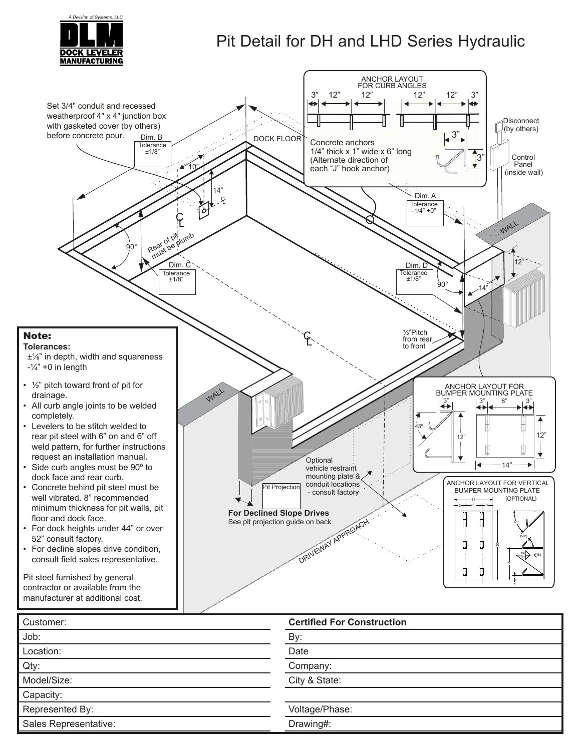

## Pit Detail for DH and LHD Series Hydraulic



| Customer:             | <b>Certified For Construction</b> |
|-----------------------|-----------------------------------|
| Job:                  | By:                               |
| Location:             | Date                              |
| Qty:                  | Company:                          |
| Model/Size:           | City & State:                     |
| Capacity:             |                                   |
| Represented By:       | Voltage/Phase:                    |
| Sales Representative: | Drawing#:                         |